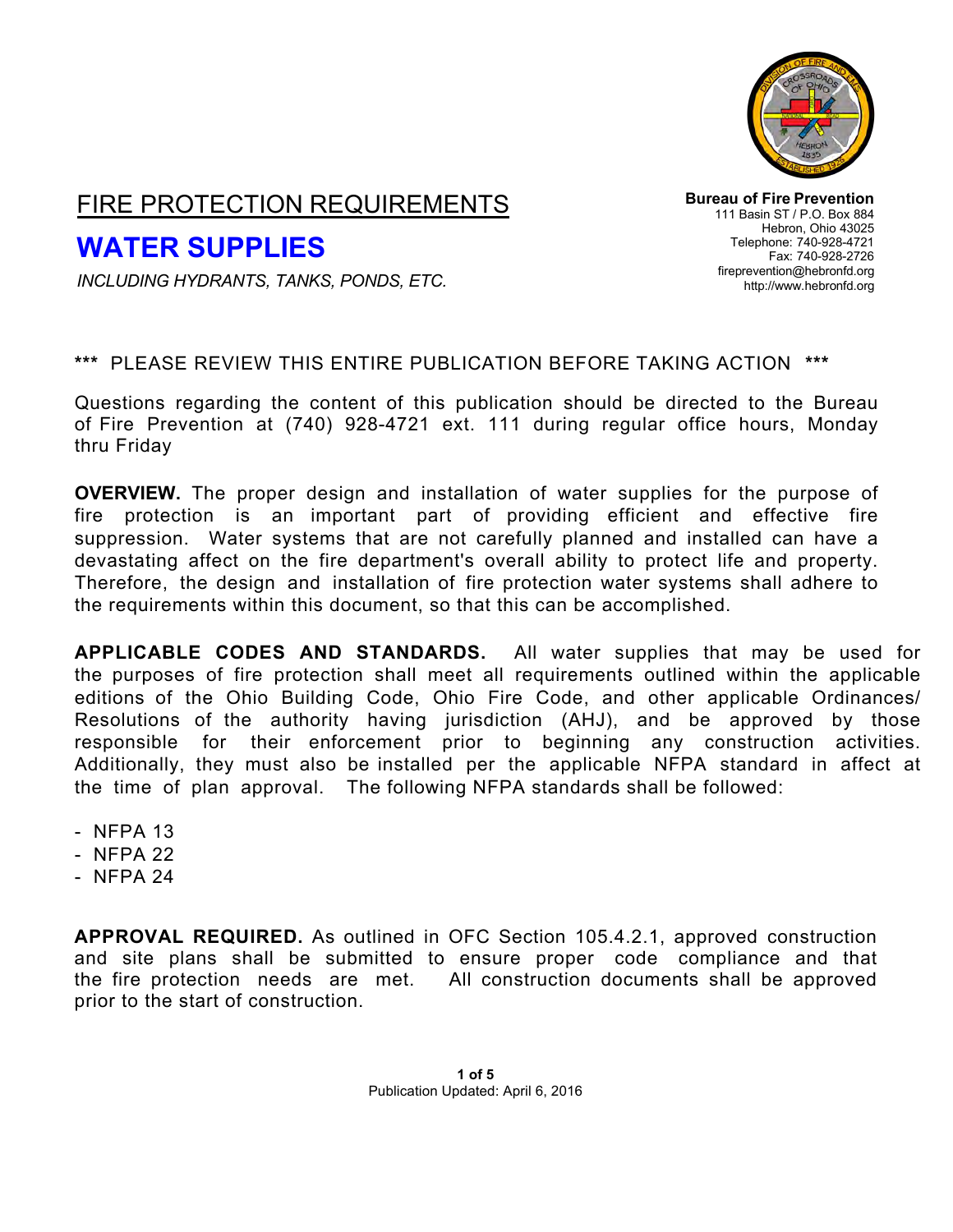

## FIRE PROTECTION REQUIREMENTS

# **WATER SUPPLIES**

**Bureau of Fire Prevention** 111 Basin ST / P.O. Box 884 Hebron, Ohio 43025 Telephone: 740-928-4721 Fax: 740-928-2726 [fireprevention@hebronfd.org](mailto:fireprevention@hebronfd.org) [http://www.hebronfd.org](http://www.hebronfd.org/)

*INCLUDING HYDRANTS, TANKS, PONDS, ETC.*

### **\*\*\*** PLEASE REVIEW THIS ENTIRE PUBLICATION BEFORE TAKING ACTION **\*\*\***

Questions regarding the content of this publication should be directed to the Bureau of Fire Prevention at (740) 928-4721 ext. 111 during regular office hours, Monday thru Friday

**OVERVIEW.** The proper design and installation of water supplies for the purpose of fire protection is an important part of providing efficient and effective fire suppression. Water systems that are not carefully planned and installed can have a devastating affect on the fire department's overall ability to protect life and property. Therefore, the design and installation of fire protection water systems shall adhere to the requirements within this document, so that this can be accomplished.

**APPLICABLE CODES AND STANDARDS.** All water supplies that may be used for the purposes of fire protection shall meet all requirements outlined within the applicable editions of the Ohio Building Code, Ohio Fire Code, and other applicable Ordinances/ Resolutions of the authority having jurisdiction (AHJ), and be approved by those responsible for their enforcement prior to beginning any construction activities. Additionally, they must also be installed per the applicable NFPA standard in affect at the time of plan approval. The following NFPA standards shall be followed:

- NFPA 13
- NFPA 22
- NFPA 24

**APPROVAL REQUIRED.** As outlined in OFC Section 105.4.2.1, approved construction and site plans shall be submitted to ensure proper code compliance and that the fire protection needs are met. All construction documents shall be approved prior to the start of construction.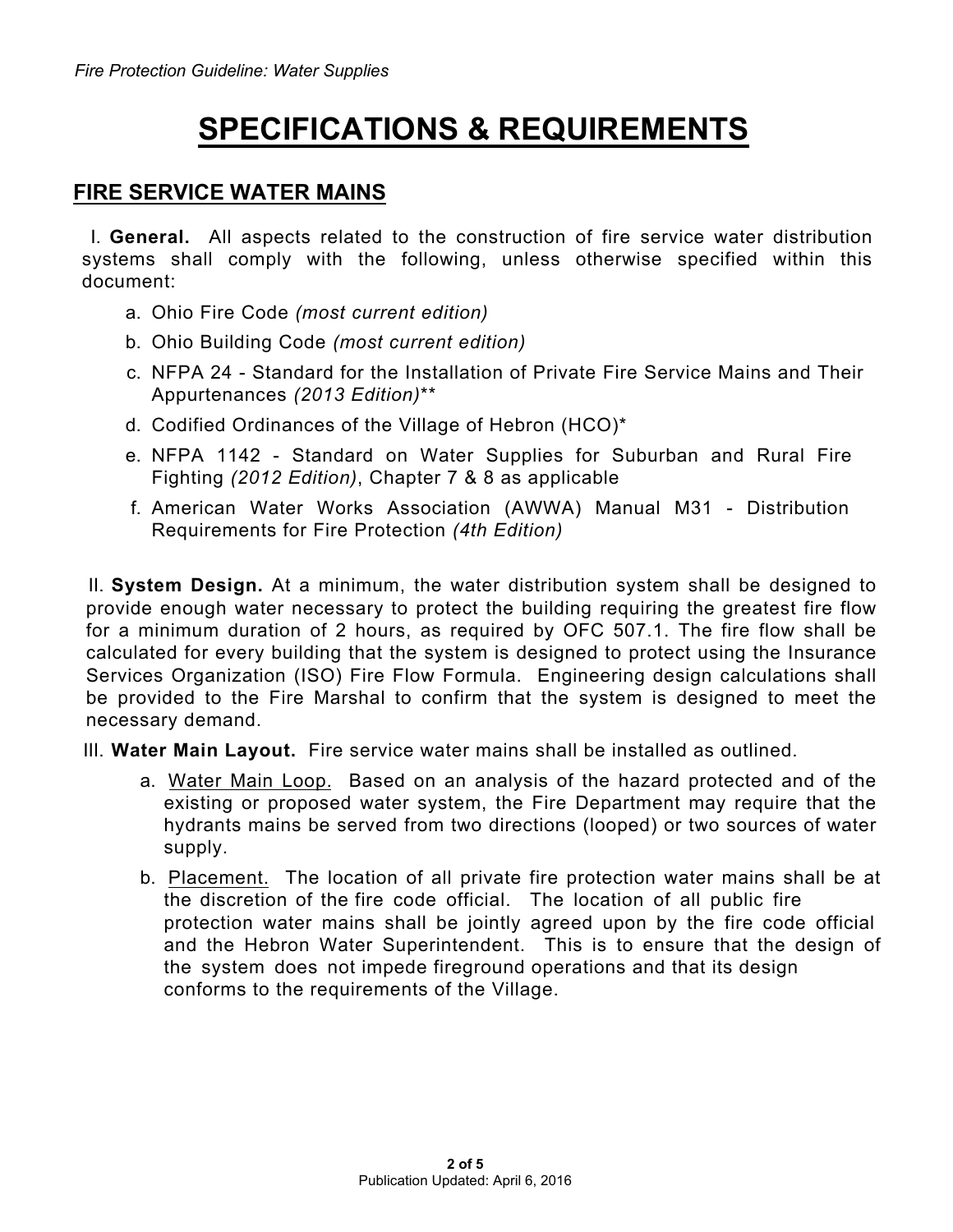# **SPECIFICATIONS & REQUIREMENTS**

### **FIRE SERVICE WATER MAINS**

I. **General.** All aspects related to the construction of fire service water distribution systems shall comply with the following, unless otherwise specified within this document:

- a. Ohio Fire Code *(most current edition)*
- b. Ohio Building Code *(most current edition)*
- c. NFPA 24 Standard for the Installation of Private Fire Service Mains and Their Appurtenances *(2013 Edition)*\*\*
- d. Codified Ordinances of the Village of Hebron (HCO)\*
- e. NFPA 1142 Standard on Water Supplies for Suburban and Rural Fire Fighting *(2012 Edition)*, Chapter 7 & 8 as applicable
- f. American Water Works Association (AWWA) Manual M31 Distribution Requirements for Fire Protection *(4th Edition)*

II. **System Design.** At a minimum, the water distribution system shall be designed to provide enough water necessary to protect the building requiring the greatest fire flow for a minimum duration of 2 hours, as required by OFC 507.1. The fire flow shall be calculated for every building that the system is designed to protect using the Insurance Services Organization (ISO) Fire Flow Formula. Engineering design calculations shall be provided to the Fire Marshal to confirm that the system is designed to meet the necessary demand.

III. **Water Main Layout.** Fire service water mains shall be installed as outlined.

- a. Water Main Loop. Based on an analysis of the hazard protected and of the existing or proposed water system, the Fire Department may require that the hydrants mains be served from two directions (looped) or two sources of water supply.
- b. Placement. The location of all private fire protection water mains shall be at the discretion of the fire code official. The location of all public fire protection water mains shall be jointly agreed upon by the fire code official and the Hebron Water Superintendent. This is to ensure that the design of the system does not impede fireground operations and that its design conforms to the requirements of the Village.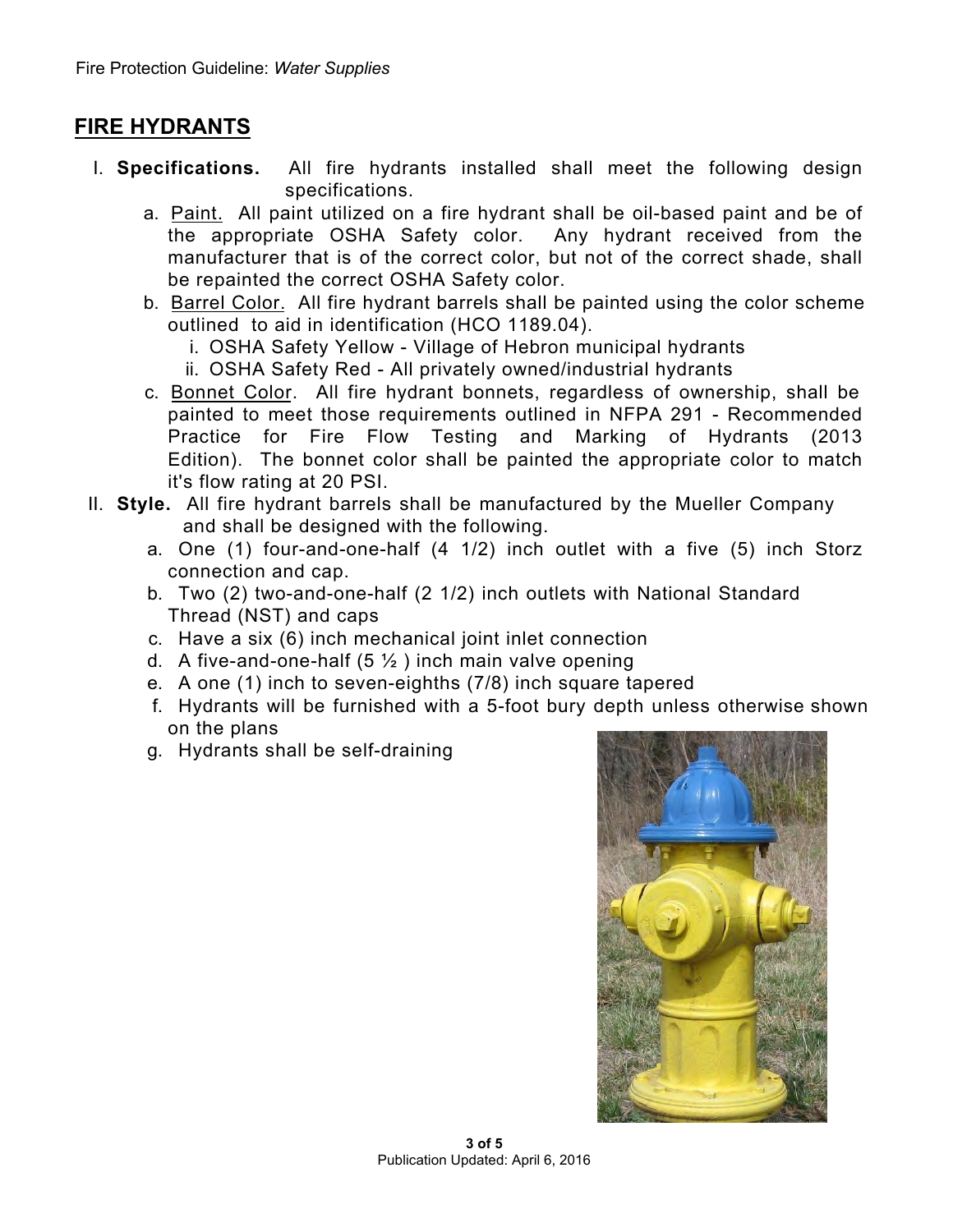## **FIRE HYDRANTS**

- I. **Specifications.** All fire hydrants installed shall meet the following design specifications.
	- a. Paint. All paint utilized on a fire hydrant shall be oil-based paint and be of the appropriate OSHA Safety color. Any hydrant received from the manufacturer that is of the correct color, but not of the correct shade, shall be repainted the correct OSHA Safety color.
	- b. Barrel Color. All fire hydrant barrels shall be painted using the color scheme outlined to aid in identification (HCO 1189.04).
		- i. OSHA Safety Yellow Village of Hebron municipal hydrants
		- ii. OSHA Safety Red All privately owned/industrial hydrants
	- c. Bonnet Color. All fire hydrant bonnets, regardless of ownership, shall be painted to meet those requirements outlined in NFPA 291 - Recommended Practice for Fire Flow Testing and Marking of Hydrants (2013 Edition). The bonnet color shall be painted the appropriate color to match it's flow rating at 20 PSI.
- II. **Style.** All fire hydrant barrels shall be manufactured by the Mueller Company and shall be designed with the following.
	- a. One (1) four-and-one-half (4 1/2) inch outlet with a five (5) inch Storz connection and cap.
	- b. Two (2) two-and-one-half (2 1/2) inch outlets with National Standard Thread (NST) and caps
	- c. Have a six (6) inch mechanical joint inlet connection
	- d. A five-and-one-half  $(5 \frac{1}{2})$  inch main valve opening
	- e. A one (1) inch to seven-eighths (7/8) inch square tapered
	- f. Hydrants will be furnished with a 5-foot bury depth unless otherwise shown on the plans
	- g. Hydrants shall be self-draining

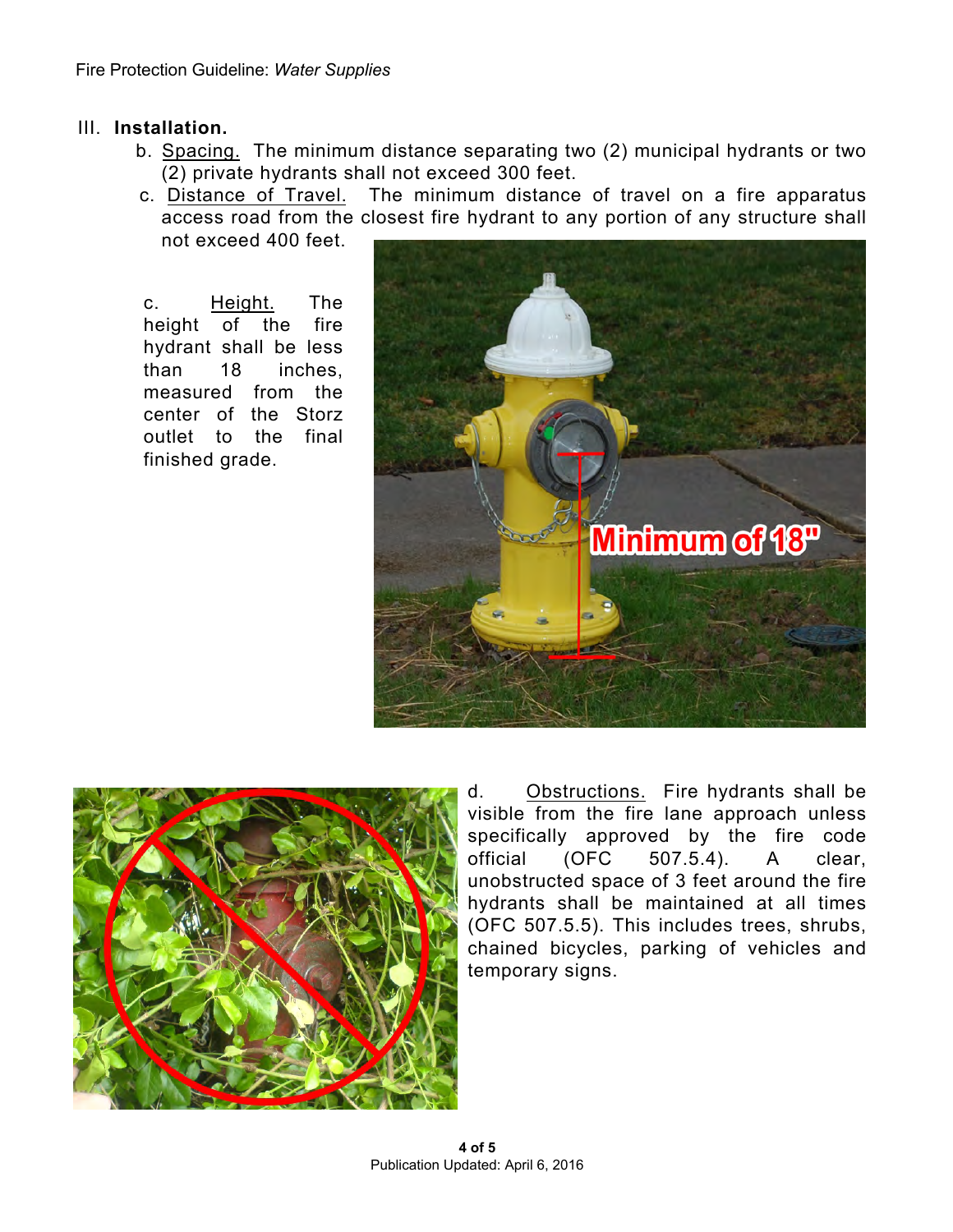#### III. **Installation.**

- b. Spacing. The minimum distance separating two (2) municipal hydrants or two (2) private hydrants shall not exceed 300 feet.
- c. Distance of Travel. The minimum distance of travel on a fire apparatus access road from the closest fire hydrant to any portion of any structure shall not exceed 400 feet.

c. Height. The height of the fire hydrant shall be less than 18 inches, measured from the center of the Storz outlet to the final finished grade.





d. Obstructions. Fire hydrants shall be visible from the fire lane approach unless specifically approved by the fire code<br>official (OFC 507.5.4). A clear. official (OFC 507.5.4). A clear, unobstructed space of 3 feet around the fire hydrants shall be maintained at all times (OFC 507.5.5). This includes trees, shrubs, chained bicycles, parking of vehicles and temporary signs.